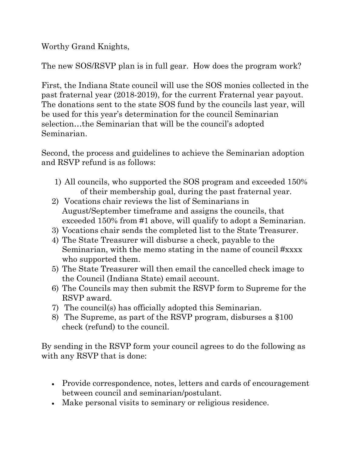Worthy Grand Knights,

The new SOS/RSVP plan is in full gear. How does the program work?

First, the Indiana State council will use the SOS monies collected in the past fraternal year (2018-2019), for the current Fraternal year payout. The donations sent to the state SOS fund by the councils last year, will be used for this year's determination for the council Seminarian selection…the Seminarian that will be the council's adopted Seminarian.

Second, the process and guidelines to achieve the Seminarian adoption and RSVP refund is as follows:

- 1) All councils, who supported the SOS program and exceeded 150% of their membership goal, during the past fraternal year.
- 2) Vocations chair reviews the list of Seminarians in August/September timeframe and assigns the councils, that exceeded 150% from #1 above, will qualify to adopt a Seminarian.
- 3) Vocations chair sends the completed list to the State Treasurer.
- 4) The State Treasurer will disburse a check, payable to the Seminarian, with the memo stating in the name of council #xxxx who supported them.
- 5) The State Treasurer will then email the cancelled check image to the Council (Indiana State) email account.
- 6) The Councils may then submit the RSVP form to Supreme for the RSVP award.
- 7) The council(s) has officially adopted this Seminarian.
- 8) The Supreme, as part of the RSVP program, disburses a \$100 check (refund) to the council.

By sending in the RSVP form your council agrees to do the following as with any RSVP that is done:

- Provide correspondence, notes, letters and cards of encouragement between council and seminarian/postulant.
- Make personal visits to seminary or religious residence.